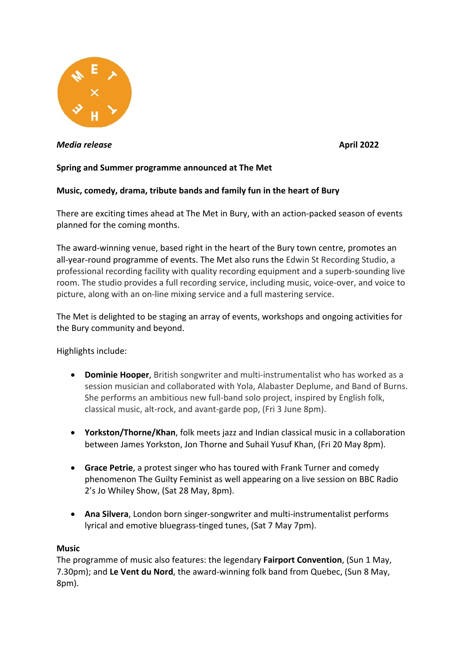

*Media release* **April 2022**

# **Spring and Summer programme announced at The Met**

# **Music, comedy, drama, tribute bands and family fun in the heart of Bury**

There are exciting times ahead at The Met in Bury, with an action-packed season of events planned for the coming months.

The award-winning venue, based right in the heart of the Bury town centre, promotes an all-year-round programme of events. The Met also runs the Edwin St Recording Studio, a professional recording facility with quality recording equipment and a superb-sounding live room. The studio provides a full recording service, including music, voice-over, and voice to picture, along with an on-line mixing service and a full mastering service.

The Met is delighted to be staging an array of events, workshops and ongoing activities for the Bury community and beyond.

Highlights include:

- **Dominie Hooper**, British songwriter and multi-instrumentalist who has worked as a session musician and collaborated with Yola, Alabaster Deplume, and Band of Burns. She performs an ambitious new full-band solo project, inspired by English folk, classical music, alt-rock, and avant-garde pop, (Fri 3 June 8pm).
- **Yorkston/Thorne/Khan**, folk meets jazz and Indian classical music in a collaboration between James Yorkston, Jon Thorne and Suhail Yusuf Khan, (Fri 20 May 8pm).
- **Grace Petrie**, a protest singer who has toured with Frank Turner and comedy phenomenon The Guilty Feminist as well appearing on a live session on BBC Radio 2's Jo Whiley Show, (Sat 28 May, 8pm).
- **Ana Silvera**, London born singer-songwriter and multi-instrumentalist performs lyrical and emotive bluegrass-tinged tunes, (Sat 7 May 7pm).

### **Music**

The programme of music also features: the legendary **Fairport Convention**, (Sun 1 May, 7.30pm); and **Le Vent du Nord**, the award-winning folk band from Quebec, (Sun 8 May, 8pm).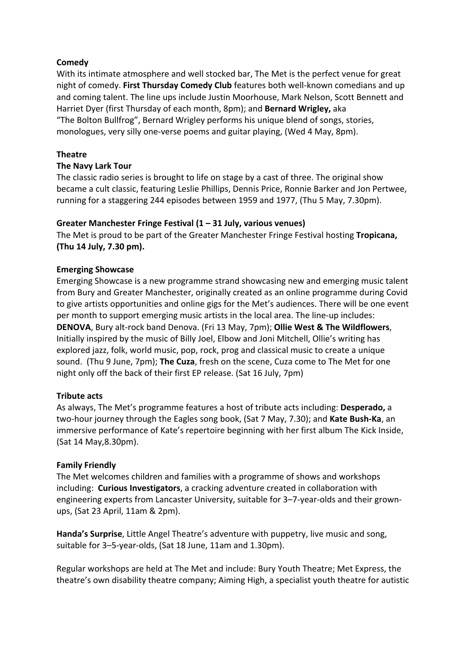## **Comedy**

With its intimate atmosphere and well stocked bar, The Met is the perfect venue for great night of comedy. **First Thursday Comedy Club** features both well-known comedians and up and coming talent. The line ups include Justin Moorhouse, Mark Nelson, Scott Bennett and Harriet Dyer (first Thursday of each month, 8pm); and **Bernard Wrigley,** aka "The Bolton Bullfrog", Bernard Wrigley performs his unique blend of songs, stories, monologues, very silly one-verse poems and guitar playing, (Wed 4 May, 8pm).

### **Theatre**

### **The Navy Lark Tour**

The classic radio series is brought to life on stage by a cast of three. The original show became a cult classic, featuring Leslie Phillips, Dennis Price, Ronnie Barker and Jon Pertwee, running for a staggering 244 episodes between 1959 and 1977, (Thu 5 May, 7.30pm).

## **Greater Manchester Fringe Festival (1 – 31 July, various venues)**

The Met is proud to be part of the Greater Manchester Fringe Festival hosting **Tropicana, (Thu 14 July, 7.30 pm).** 

## **Emerging Showcase**

Emerging Showcase is a new programme strand showcasing new and emerging music talent from Bury and Greater Manchester, originally created as an online programme during Covid to give artists opportunities and online gigs for the Met's audiences. There will be one event per month to support emerging music artists in the local area. The line-up includes: **DENOVA**, Bury alt-rock band Denova. (Fri 13 May, 7pm); **Ollie West & The Wildflowers**, Initially inspired by the music of Billy Joel, Elbow and Joni Mitchell, Ollie's writing has explored jazz, folk, world music, pop, rock, prog and classical music to create a unique sound. (Thu 9 June, 7pm); **The Cuza**, fresh on the scene, Cuza come to The Met for one night only off the back of their first EP release. (Sat 16 July, 7pm)

### **Tribute acts**

As always, The Met's programme features a host of tribute acts including: **Desperado,** a two-hour journey through the Eagles song book, (Sat 7 May, 7.30); and **Kate Bush-Ka**, an immersive performance of Kate's repertoire beginning with her first album The Kick Inside, (Sat 14 May,8.30pm).

### **Family Friendly**

The Met welcomes children and families with a programme of shows and workshops including: **Curious Investigators**, a cracking adventure created in collaboration with engineering experts from Lancaster University, suitable for 3–7-year-olds and their grownups, (Sat 23 April, 11am & 2pm).

**Handa's Surprise**, Little Angel Theatre's adventure with puppetry, live music and song, suitable for 3–5-year-olds, (Sat 18 June, 11am and 1.30pm).

Regular workshops are held at The Met and include: Bury Youth Theatre; Met Express, the theatre's own disability theatre company; Aiming High, a specialist youth theatre for autistic